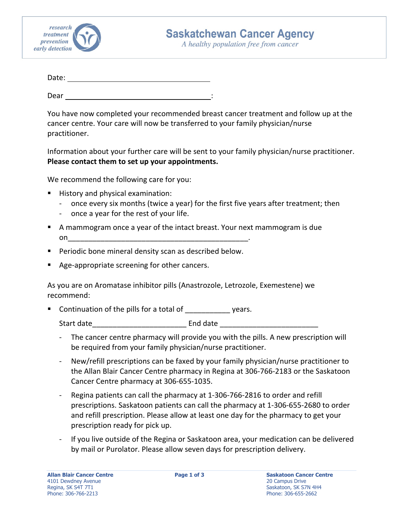

A healthy population free from cancer

| Date: |  |  |  |
|-------|--|--|--|
|       |  |  |  |

Dear  $\overline{\phantom{0}}$ 

You have now completed your recommended breast cancer treatment and follow up at the cancer centre. Your care will now be transferred to your family physician/nurse practitioner.

Information about your further care will be sent to your family physician/nurse practitioner. **Please contact them to set up your appointments.**

We recommend the following care for you:

- **History and physical examination:** 
	- ‐ once every six months (twice a year) for the first five years after treatment; then
	- ‐ once a year for the rest of your life.
- A mammogram once a year of the intact breast. Your next mammogram is due  $\mathsf{on}$
- Periodic bone mineral density scan as described below.
- Age‐appropriate screening for other cancers.

As you are on Aromatase inhibitor pills (Anastrozole, Letrozole, Exemestene) we recommend:

Continuation of the pills for a total of vears.

Start date extending the start date of the start of  $\sim$  End date  $\sim$ 

- ‐ The cancer centre pharmacy will provide you with the pills. A new prescription will be required from your family physician/nurse practitioner.
- ‐ New/refill prescriptions can be faxed by your family physician/nurse practitioner to the Allan Blair Cancer Centre pharmacy in Regina at 306‐766‐2183 or the Saskatoon Cancer Centre pharmacy at 306‐655‐1035.
- ‐ Regina patients can call the pharmacy at 1‐306‐766‐2816 to order and refill prescriptions. Saskatoon patients can call the pharmacy at 1‐306‐655‐2680 to order and refill prescription. Please allow at least one day for the pharmacy to get your prescription ready for pick up.
- ‐ If you live outside of the Regina or Saskatoon area, your medication can be delivered by mail or Purolator. Please allow seven days for prescription delivery.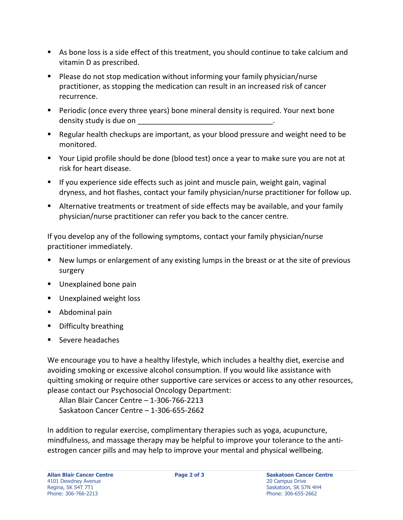- As bone loss is a side effect of this treatment, you should continue to take calcium and vitamin D as prescribed.
- Please do not stop medication without informing your family physician/nurse practitioner, as stopping the medication can result in an increased risk of cancer recurrence.
- **Periodic (once every three years) bone mineral density is required. Your next bone** density study is due on
- Regular health checkups are important, as your blood pressure and weight need to be monitored.
- Your Lipid profile should be done (blood test) once a year to make sure you are not at risk for heart disease.
- **If you experience side effects such as joint and muscle pain, weight gain, vaginal** dryness, and hot flashes, contact your family physician/nurse practitioner for follow up.
- Alternative treatments or treatment of side effects may be available, and your family physician/nurse practitioner can refer you back to the cancer centre.

If you develop any of the following symptoms, contact your family physician/nurse practitioner immediately.

- New lumps or enlargement of any existing lumps in the breast or at the site of previous surgery
- **Unexplained bone pain**
- **Unexplained weight loss**
- Abdominal pain
- **Difficulty breathing**
- Severe headaches

We encourage you to have a healthy lifestyle, which includes a healthy diet, exercise and avoiding smoking or excessive alcohol consumption. If you would like assistance with quitting smoking or require other supportive care services or access to any other resources, please contact our Psychosocial Oncology Department:

Allan Blair Cancer Centre – 1‐306‐766‐2213 Saskatoon Cancer Centre – 1‐306‐655‐2662

In addition to regular exercise, complimentary therapies such as yoga, acupuncture, mindfulness, and massage therapy may be helpful to improve your tolerance to the anti‐ estrogen cancer pills and may help to improve your mental and physical wellbeing.